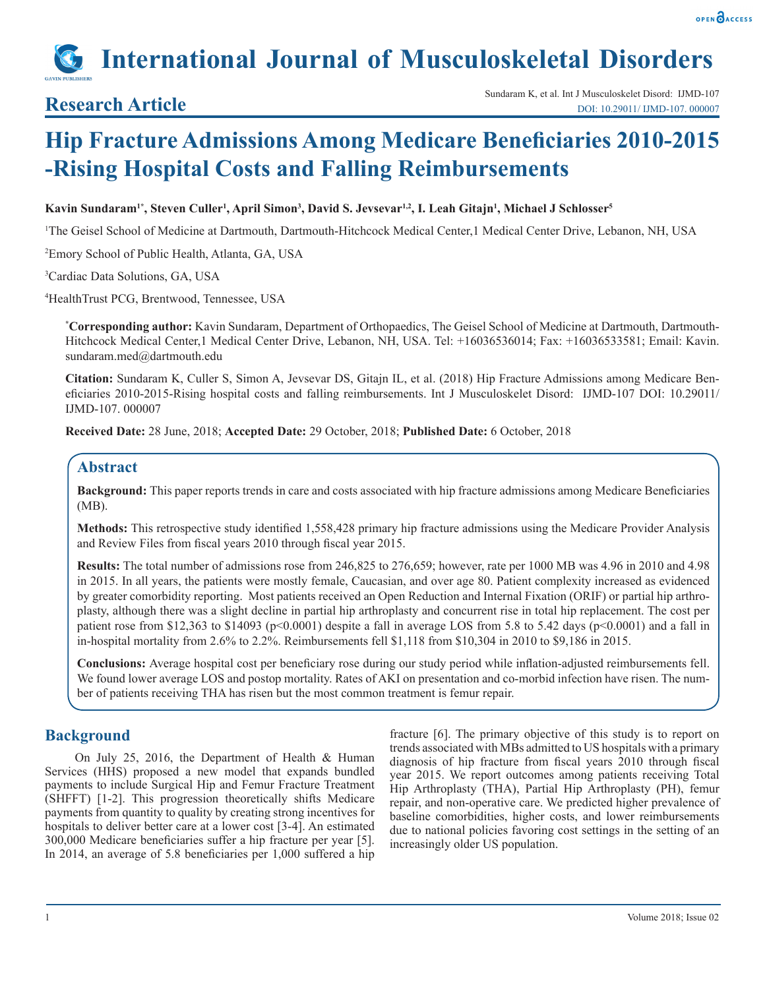

# **International Journal of Musculoskeletal Disorders**

## **Hip Fracture Admissions Among Medicare Beneficiaries 2010-2015 -Rising Hospital Costs and Falling Reimbursements**

#### **Kavin Sundaram1\*, Steven Culler1 , April Simon3 , David S. Jevsevar1,2, I. Leah Gitajn<sup>1</sup> , Michael J Schlosser<sup>5</sup>**

1 The Geisel School of Medicine at Dartmouth, Dartmouth-Hitchcock Medical Center,1 Medical Center Drive, Lebanon, NH, USA

2 Emory School of Public Health, Atlanta, GA, USA

3 Cardiac Data Solutions, GA, USA

4 HealthTrust PCG, Brentwood, Tennessee, USA

**\* Corresponding author:** Kavin Sundaram, Department of Orthopaedics, The Geisel School of Medicine at Dartmouth, Dartmouth-Hitchcock Medical Center,1 Medical Center Drive, Lebanon, NH, USA. Tel: +16036536014; Fax: +16036533581; Email: Kavin. sundaram.med@dartmouth.edu

**Citation:** Sundaram K, Culler S, Simon A, Jevsevar DS, Gitajn IL, et al. (2018) Hip Fracture Admissions among Medicare Beneficiaries 2010-2015-Rising hospital costs and falling reimbursements. Int J Musculoskelet Disord: IJMD-107 DOI: 10.29011/ IJMD-107. 000007

**Received Date:** 28 June, 2018; **Accepted Date:** 29 October, 2018; **Published Date:** 6 October, 2018

#### **Abstract**

**Background:** This paper reports trends in care and costs associated with hip fracture admissions among Medicare Beneficiaries (MB).

**Methods:** This retrospective study identified 1,558,428 primary hip fracture admissions using the Medicare Provider Analysis and Review Files from fiscal years 2010 through fiscal year 2015.

**Results:** The total number of admissions rose from 246,825 to 276,659; however, rate per 1000 MB was 4.96 in 2010 and 4.98 in 2015. In all years, the patients were mostly female, Caucasian, and over age 80. Patient complexity increased as evidenced by greater comorbidity reporting. Most patients received an Open Reduction and Internal Fixation (ORIF) or partial hip arthroplasty, although there was a slight decline in partial hip arthroplasty and concurrent rise in total hip replacement. The cost per patient rose from \$12,363 to \$14093 (p<0.0001) despite a fall in average LOS from 5.8 to 5.42 days (p<0.0001) and a fall in in-hospital mortality from 2.6% to 2.2%. Reimbursements fell \$1,118 from \$10,304 in 2010 to \$9,186 in 2015.

**Conclusions:** Average hospital cost per beneficiary rose during our study period while inflation-adjusted reimbursements fell. We found lower average LOS and postop mortality. Rates of AKI on presentation and co-morbid infection have risen. The number of patients receiving THA has risen but the most common treatment is femur repair.

#### **Background**

On July 25, 2016, the Department of Health & Human Services (HHS) proposed a new model that expands bundled payments to include Surgical Hip and Femur Fracture Treatment (SHFFT) [1-2]. This progression theoretically shifts Medicare payments from quantity to quality by creating strong incentives for hospitals to deliver better care at a lower cost [3-4]. An estimated 300,000 Medicare beneficiaries suffer a hip fracture per year [5]. In 2014, an average of 5.8 beneficiaries per 1,000 suffered a hip

fracture [6]. The primary objective of this study is to report on trends associated with MBs admitted to US hospitals with a primary diagnosis of hip fracture from fiscal years 2010 through fiscal year 2015. We report outcomes among patients receiving Total Hip Arthroplasty (THA), Partial Hip Arthroplasty (PH), femur repair, and non-operative care. We predicted higher prevalence of baseline comorbidities, higher costs, and lower reimbursements due to national policies favoring cost settings in the setting of an increasingly older US population.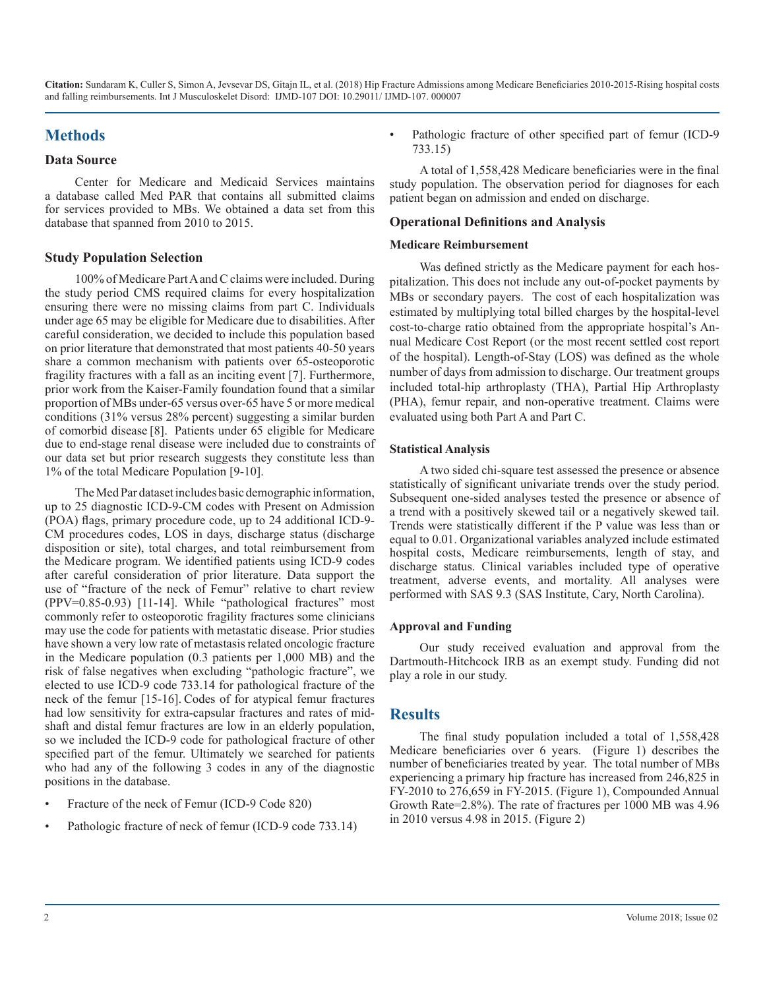### **Methods**

#### **Data Source**

Center for Medicare and Medicaid Services maintains a database called Med PAR that contains all submitted claims for services provided to MBs. We obtained a data set from this database that spanned from 2010 to 2015.

#### **Study Population Selection**

100% of Medicare Part A and C claims were included. During the study period CMS required claims for every hospitalization ensuring there were no missing claims from part C. Individuals under age 65 may be eligible for Medicare due to disabilities. After careful consideration, we decided to include this population based on prior literature that demonstrated that most patients 40-50 years share a common mechanism with patients over 65-osteoporotic fragility fractures with a fall as an inciting event [7]. Furthermore, prior work from the Kaiser-Family foundation found that a similar proportion of MBs under-65 versus over-65 have 5 or more medical conditions (31% versus 28% percent) suggesting a similar burden of comorbid disease [8]. Patients under 65 eligible for Medicare due to end-stage renal disease were included due to constraints of our data set but prior research suggests they constitute less than 1% of the total Medicare Population [9-10].

The Med Par dataset includes basic demographic information, up to 25 diagnostic ICD-9-CM codes with Present on Admission (POA) flags, primary procedure code, up to 24 additional ICD-9- CM procedures codes, LOS in days, discharge status (discharge disposition or site), total charges, and total reimbursement from the Medicare program. We identified patients using ICD-9 codes after careful consideration of prior literature. Data support the use of "fracture of the neck of Femur" relative to chart review  $(PPV=0.85-0.93)$  [11-14]. While "pathological fractures" most commonly refer to osteoporotic fragility fractures some clinicians may use the code for patients with metastatic disease. Prior studies have shown a very low rate of metastasis related oncologic fracture in the Medicare population (0.3 patients per 1,000 MB) and the risk of false negatives when excluding "pathologic fracture", we elected to use ICD-9 code 733.14 for pathological fracture of the neck of the femur [15-16]. Codes of for atypical femur fractures had low sensitivity for extra-capsular fractures and rates of midshaft and distal femur fractures are low in an elderly population, so we included the ICD-9 code for pathological fracture of other specified part of the femur. Ultimately we searched for patients who had any of the following 3 codes in any of the diagnostic positions in the database.

- Fracture of the neck of Femur (ICD-9 Code 820)
- Pathologic fracture of neck of femur (ICD-9 code 733.14)

Pathologic fracture of other specified part of femur (ICD-9) 733.15)

A total of 1,558,428 Medicare beneficiaries were in the final study population. The observation period for diagnoses for each patient began on admission and ended on discharge.

#### **Operational Definitions and Analysis**

#### **Medicare Reimbursement**

Was defined strictly as the Medicare payment for each hospitalization. This does not include any out-of-pocket payments by MBs or secondary payers. The cost of each hospitalization was estimated by multiplying total billed charges by the hospital-level cost-to-charge ratio obtained from the appropriate hospital's Annual Medicare Cost Report (or the most recent settled cost report of the hospital). Length-of-Stay (LOS) was defined as the whole number of days from admission to discharge. Our treatment groups included total-hip arthroplasty (THA), Partial Hip Arthroplasty (PHA), femur repair, and non-operative treatment. Claims were evaluated using both Part A and Part C.

#### **Statistical Analysis**

A two sided chi-square test assessed the presence or absence statistically of significant univariate trends over the study period. Subsequent one-sided analyses tested the presence or absence of a trend with a positively skewed tail or a negatively skewed tail. Trends were statistically different if the P value was less than or equal to 0.01. Organizational variables analyzed include estimated hospital costs, Medicare reimbursements, length of stay, and discharge status. Clinical variables included type of operative treatment, adverse events, and mortality. All analyses were performed with SAS 9.3 (SAS Institute, Cary, North Carolina).

#### **Approval and Funding**

Our study received evaluation and approval from the Dartmouth-Hitchcock IRB as an exempt study. Funding did not play a role in our study.

#### **Results**

The final study population included a total of 1,558,428 Medicare beneficiaries over 6 years. (Figure 1) describes the number of beneficiaries treated by year. The total number of MBs experiencing a primary hip fracture has increased from 246,825 in FY-2010 to 276,659 in FY-2015. (Figure 1), Compounded Annual Growth Rate=2.8%). The rate of fractures per 1000 MB was 4.96 in 2010 versus 4.98 in 2015. (Figure 2)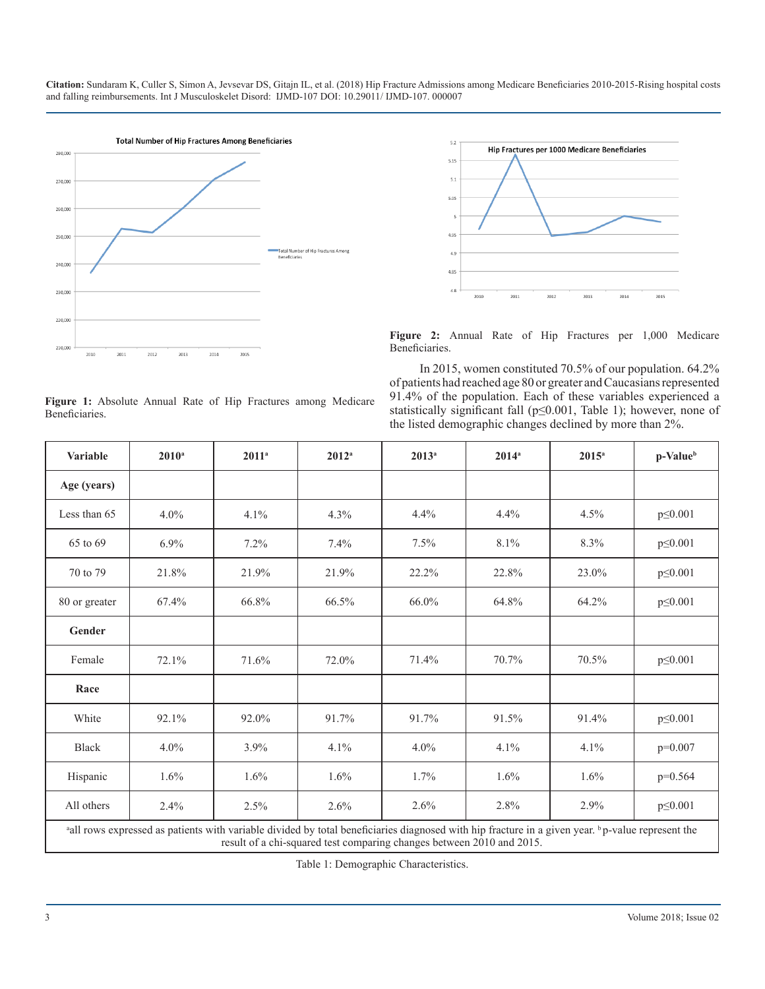



**Figure 2:** Annual Rate of Hip Fractures per 1,000 Medicare Beneficiaries.

In 2015, women constituted 70.5% of our population. 64.2% of patients had reached age 80 or greater and Caucasians represented 91.4% of the population. Each of these variables experienced a statistically significant fall (p≤0.001, Table 1); however, none of the listed demographic changes declined by more than 2%.

| <b>Variable</b> | $2010^a$                                                                                                                                                                                                                 | $2011^a$ | $2012^a$ | $2013^a$ | $2014^a$ | $2015^{\rm a}$ | p-Value <sup>b</sup> |  |  |  |  |  |
|-----------------|--------------------------------------------------------------------------------------------------------------------------------------------------------------------------------------------------------------------------|----------|----------|----------|----------|----------------|----------------------|--|--|--|--|--|
| Age (years)     |                                                                                                                                                                                                                          |          |          |          |          |                |                      |  |  |  |  |  |
| Less than 65    | $4.0\%$                                                                                                                                                                                                                  | 4.1%     | 4.3%     | 4.4%     | 4.4%     | 4.5%           | $p \le 0.001$        |  |  |  |  |  |
| 65 to 69        | $6.9\%$                                                                                                                                                                                                                  | $7.2\%$  | 7.4%     | $7.5\%$  | 8.1%     | 8.3%           | $p \le 0.001$        |  |  |  |  |  |
| 70 to 79        | 21.8%                                                                                                                                                                                                                    | 21.9%    | 21.9%    | 22.2%    | 22.8%    | 23.0%          | $p \le 0.001$        |  |  |  |  |  |
| 80 or greater   | 67.4%                                                                                                                                                                                                                    | 66.8%    | 66.5%    | 66.0%    | 64.8%    | 64.2%          | $p \le 0.001$        |  |  |  |  |  |
| Gender          |                                                                                                                                                                                                                          |          |          |          |          |                |                      |  |  |  |  |  |
| Female          | 72.1%                                                                                                                                                                                                                    | 71.6%    | 72.0%    | 71.4%    | 70.7%    | 70.5%          | $p \le 0.001$        |  |  |  |  |  |
| Race            |                                                                                                                                                                                                                          |          |          |          |          |                |                      |  |  |  |  |  |
| White           | 92.1%                                                                                                                                                                                                                    | 92.0%    | 91.7%    | 91.7%    | 91.5%    | 91.4%          | $p \le 0.001$        |  |  |  |  |  |
| <b>Black</b>    | $4.0\%$                                                                                                                                                                                                                  | 3.9%     | 4.1%     | $4.0\%$  | 4.1%     | 4.1%           | $p=0.007$            |  |  |  |  |  |
| Hispanic        | 1.6%                                                                                                                                                                                                                     | 1.6%     | 1.6%     | $1.7\%$  | $1.6\%$  | 1.6%           | $p=0.564$            |  |  |  |  |  |
| All others      | 2.4%                                                                                                                                                                                                                     | 2.5%     | $2.6\%$  | 2.6%     | 2.8%     | 2.9%           | $p \le 0.001$        |  |  |  |  |  |
|                 | all rows expressed as patients with variable divided by total beneficiaries diagnosed with hip fracture in a given year. bp-value represent the<br>result of a chi-squared test comparing changes between 2010 and 2015. |          |          |          |          |                |                      |  |  |  |  |  |

Table 1: Demographic Characteristics.

**Figure 1:** Absolute Annual Rate of Hip Fractures among Medicare Beneficiaries.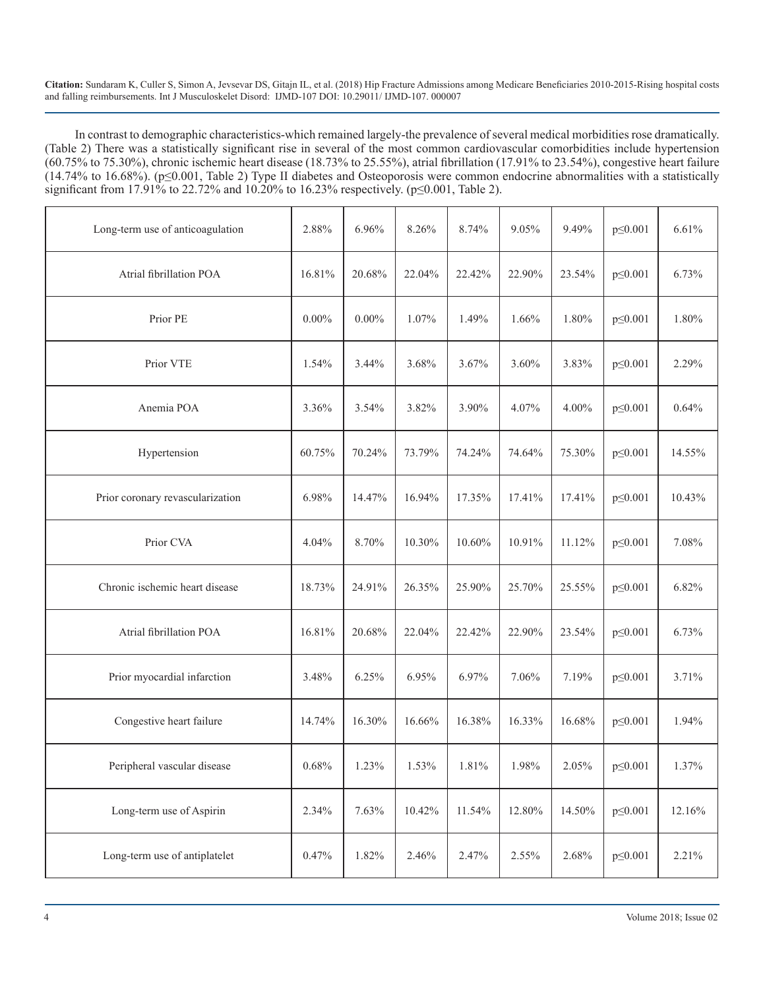In contrast to demographic characteristics-which remained largely-the prevalence of several medical morbidities rose dramatically. (Table 2) There was a statistically significant rise in several of the most common cardiovascular comorbidities include hypertension (60.75% to 75.30%), chronic ischemic heart disease (18.73% to 25.55%), atrial fibrillation (17.91% to 23.54%), congestive heart failure (14.74% to 16.68%). (p≤0.001, Table 2) Type II diabetes and Osteoporosis were common endocrine abnormalities with a statistically significant from 17.91% to 22.72% and 10.20% to 16.23% respectively. ( $p \le 0.001$ , Table 2).

| Long-term use of anticoagulation | 2.88%    | 6.96%    | 8.26%  | 8.74%  | 9.05%  | 9.49%  | $p \le 0.001$ | 6.61%  |
|----------------------------------|----------|----------|--------|--------|--------|--------|---------------|--------|
| Atrial fibrillation POA          | 16.81%   | 20.68%   | 22.04% | 22.42% | 22.90% | 23.54% | $p \le 0.001$ | 6.73%  |
| Prior PE                         | $0.00\%$ | $0.00\%$ | 1.07%  | 1.49%  | 1.66%  | 1.80%  | $p \le 0.001$ | 1.80%  |
| Prior VTE                        | 1.54%    | 3.44%    | 3.68%  | 3.67%  | 3.60%  | 3.83%  | $p \le 0.001$ | 2.29%  |
| Anemia POA                       | 3.36%    | 3.54%    | 3.82%  | 3.90%  | 4.07%  | 4.00%  | $p \le 0.001$ | 0.64%  |
| Hypertension                     | 60.75%   | 70.24%   | 73.79% | 74.24% | 74.64% | 75.30% | $p \le 0.001$ | 14.55% |
| Prior coronary revascularization | 6.98%    | 14.47%   | 16.94% | 17.35% | 17.41% | 17.41% | $p \le 0.001$ | 10.43% |
| Prior CVA                        | 4.04%    | 8.70%    | 10.30% | 10.60% | 10.91% | 11.12% | $p \le 0.001$ | 7.08%  |
| Chronic ischemic heart disease   | 18.73%   | 24.91%   | 26.35% | 25.90% | 25.70% | 25.55% | $p \le 0.001$ | 6.82%  |
| Atrial fibrillation POA          | 16.81%   | 20.68%   | 22.04% | 22.42% | 22.90% | 23.54% | $p \le 0.001$ | 6.73%  |
| Prior myocardial infarction      | 3.48%    | 6.25%    | 6.95%  | 6.97%  | 7.06%  | 7.19%  | $p \le 0.001$ | 3.71%  |
| Congestive heart failure         | 14.74%   | 16.30%   | 16.66% | 16.38% | 16.33% | 16.68% | $p \le 0.001$ | 1.94%  |
| Peripheral vascular disease      | 0.68%    | 1.23%    | 1.53%  | 1.81%  | 1.98%  | 2.05%  | $p \le 0.001$ | 1.37%  |
| Long-term use of Aspirin         | 2.34%    | 7.63%    | 10.42% | 11.54% | 12.80% | 14.50% | $p \le 0.001$ | 12.16% |
| Long-term use of antiplatelet    | 0.47%    | 1.82%    | 2.46%  | 2.47%  | 2.55%  | 2.68%  | $p \le 0.001$ | 2.21%  |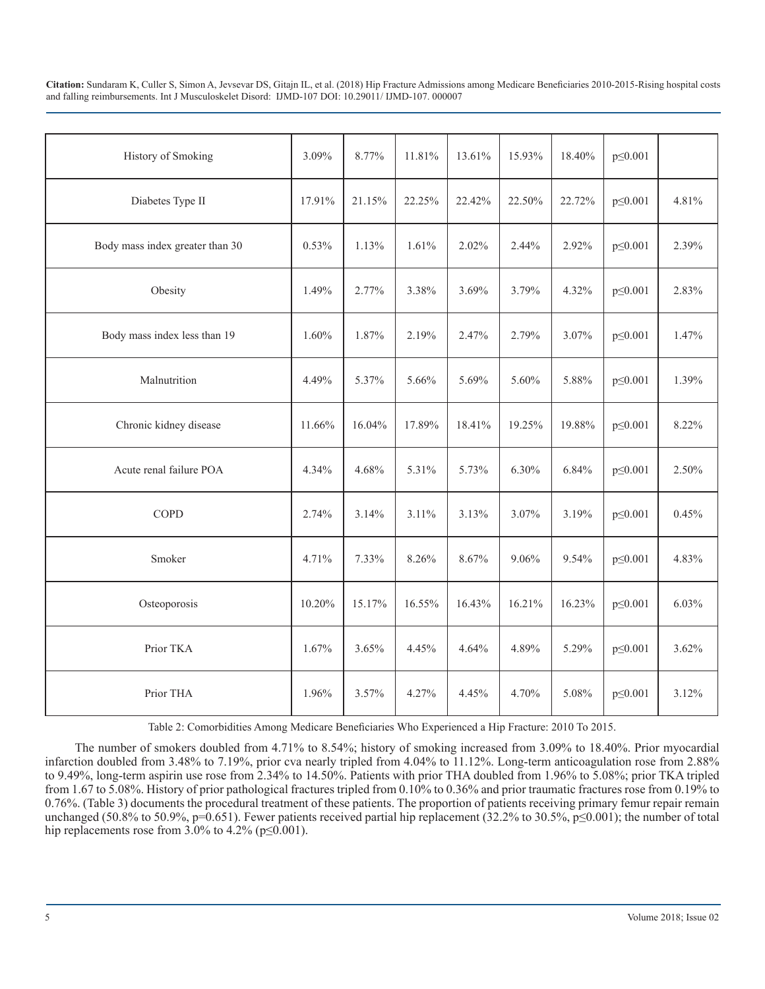| History of Smoking              | 3.09%  | 8.77%  | 11.81% | 13.61% | 15.93% | 18.40% | $p \le 0.001$ |       |
|---------------------------------|--------|--------|--------|--------|--------|--------|---------------|-------|
| Diabetes Type II                | 17.91% | 21.15% | 22.25% | 22.42% | 22.50% | 22.72% | $p \le 0.001$ | 4.81% |
| Body mass index greater than 30 | 0.53%  | 1.13%  | 1.61%  | 2.02%  | 2.44%  | 2.92%  | $p \le 0.001$ | 2.39% |
| Obesity                         | 1.49%  | 2.77%  | 3.38%  | 3.69%  | 3.79%  | 4.32%  | $p \le 0.001$ | 2.83% |
| Body mass index less than 19    | 1.60%  | 1.87%  | 2.19%  | 2.47%  | 2.79%  | 3.07%  | $p \le 0.001$ | 1.47% |
| Malnutrition                    | 4.49%  | 5.37%  | 5.66%  | 5.69%  | 5.60%  | 5.88%  | $p \le 0.001$ | 1.39% |
| Chronic kidney disease          | 11.66% | 16.04% | 17.89% | 18.41% | 19.25% | 19.88% | $p \le 0.001$ | 8.22% |
| Acute renal failure POA         | 4.34%  | 4.68%  | 5.31%  | 5.73%  | 6.30%  | 6.84%  | $p \le 0.001$ | 2.50% |
| <b>COPD</b>                     | 2.74%  | 3.14%  | 3.11%  | 3.13%  | 3.07%  | 3.19%  | $p \le 0.001$ | 0.45% |
| Smoker                          | 4.71%  | 7.33%  | 8.26%  | 8.67%  | 9.06%  | 9.54%  | $p \le 0.001$ | 4.83% |
| Osteoporosis                    | 10.20% | 15.17% | 16.55% | 16.43% | 16.21% | 16.23% | $p \le 0.001$ | 6.03% |
| Prior TKA                       | 1.67%  | 3.65%  | 4.45%  | 4.64%  | 4.89%  | 5.29%  | $p \le 0.001$ | 3.62% |
| Prior THA                       | 1.96%  | 3.57%  | 4.27%  | 4.45%  | 4.70%  | 5.08%  | $p \le 0.001$ | 3.12% |

Table 2: Comorbidities Among Medicare Beneficiaries Who Experienced a Hip Fracture: 2010 To 2015.

The number of smokers doubled from 4.71% to 8.54%; history of smoking increased from 3.09% to 18.40%. Prior myocardial infarction doubled from 3.48% to 7.19%, prior cva nearly tripled from 4.04% to 11.12%. Long-term anticoagulation rose from 2.88% to 9.49%, long-term aspirin use rose from 2.34% to 14.50%. Patients with prior THA doubled from 1.96% to 5.08%; prior TKA tripled from 1.67 to 5.08%. History of prior pathological fractures tripled from 0.10% to 0.36% and prior traumatic fractures rose from 0.19% to 0.76%. (Table 3) documents the procedural treatment of these patients. The proportion of patients receiving primary femur repair remain unchanged (50.8% to 50.9%, p=0.651). Fewer patients received partial hip replacement (32.2% to 30.5%, p $\leq$ 0.001); the number of total hip replacements rose from  $3.0\%$  to  $4.2\%$  (p $\leq 0.001$ ).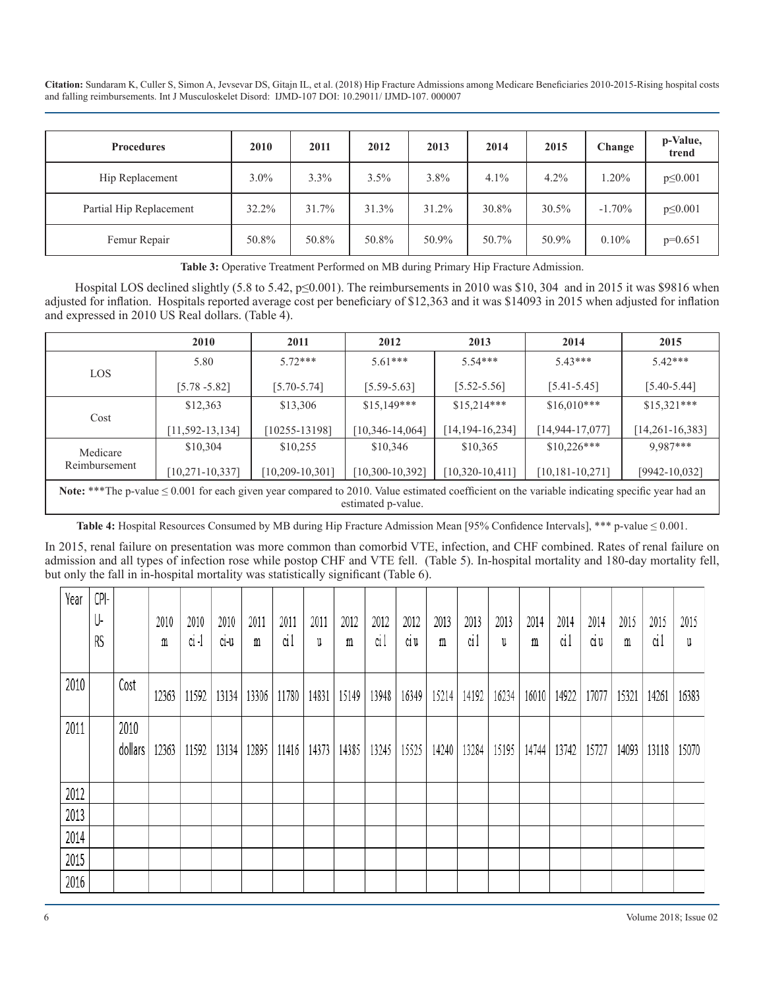| <b>Procedures</b>       | 2010    | 2011  | 2012  | 2013  | 2014  | 2015  | Change    | p-Value,<br>trend |
|-------------------------|---------|-------|-------|-------|-------|-------|-----------|-------------------|
| Hip Replacement         | $3.0\%$ | 3.3%  | 3.5%  | 3.8%  | 4.1%  | 4.2%  | $1.20\%$  | $p \le 0.001$     |
| Partial Hip Replacement | 32.2%   | 31.7% | 31.3% | 31.2% | 30.8% | 30.5% | $-1.70\%$ | $p \le 0.001$     |
| Femur Repair            | 50.8%   | 50.8% | 50.8% | 50.9% | 50.7% | 50.9% | $0.10\%$  | $p=0.651$         |

**Table 3:** Operative Treatment Performed on MB during Primary Hip Fracture Admission.

Hospital LOS declined slightly (5.8 to 5.42, p≤0.001). The reimbursements in 2010 was \$10, 304 and in 2015 it was \$9816 when adjusted for inflation. Hospitals reported average cost per beneficiary of \$12,363 and it was \$14093 in 2015 when adjusted for inflation and expressed in 2010 US Real dollars. (Table 4).

|                                                                                                                                                                           | 2010                  | 2011              | 2012                  | 2013                  | 2014            | 2015              |  |  |  |  |
|---------------------------------------------------------------------------------------------------------------------------------------------------------------------------|-----------------------|-------------------|-----------------------|-----------------------|-----------------|-------------------|--|--|--|--|
|                                                                                                                                                                           | 5.80                  | $572***$          | $5.61***$             | $5.54***$             | $5.43***$       | $5.42***$         |  |  |  |  |
| <b>LOS</b>                                                                                                                                                                | $[5.78 - 5.82]$       | $[5.70 - 5.74]$   | $[5.59 - 5.63]$       | $[5.52 - 5.56]$       | $[5.41 - 5.45]$ | $[5.40 - 5.44]$   |  |  |  |  |
|                                                                                                                                                                           | \$12,363              | \$13,306          | $$15,149***$          | $$15,214***$          | $$16,010***$    | $$15,321***$      |  |  |  |  |
| Cost                                                                                                                                                                      | $[11, 592 - 13, 134]$ | $[10255 - 13198]$ | $[10, 346 - 14, 064]$ | $[14, 194 - 16, 234]$ | [14,944-17,077] | $[14,261-16,383]$ |  |  |  |  |
| Medicare                                                                                                                                                                  | \$10,304              | \$10,255          | \$10,346              | \$10,365              | $$10,226***$    | 9,987***          |  |  |  |  |
| Reimbursement<br>$[10,320-10,411]$<br>$[10, 181 - 10, 271]$<br>$[9942 - 10,032]$<br>$[10, 271 - 10, 337]$<br>$[10, 209 - 10, 301]$<br>$[10,300-10,392]$                   |                       |                   |                       |                       |                 |                   |  |  |  |  |
| Note: ***The p-value $\leq 0.001$ for each given year compared to 2010. Value estimated coefficient on the variable indicating specific year had an<br>estimated p-value. |                       |                   |                       |                       |                 |                   |  |  |  |  |

**Table 4:** Hospital Resources Consumed by MB during Hip Fracture Admission Mean [95% Confidence Intervals], \*\*\* p-value ≤ 0.001.

In 2015, renal failure on presentation was more common than comorbid VTE, infection, and CHF combined. Rates of renal failure on admission and all types of infection rose while postop CHF and VTE fell. (Table 5). In-hospital mortality and 180-day mortality fell, but only the fall in in-hospital mortality was statistically significant (Table 6).

| Year | CPI-<br>U-<br>RS |                 | 2010<br>m | 2010<br>$ci-1$ | 2010<br>C1-U | 2011<br>m | 2011<br>ci l | 2011<br>U | 2012<br>m | 2012<br>ci1 | 2012<br>C1 U | 2013<br>m | 2013<br>ci l | 2013<br>u | 2014<br>m | 2014<br>ci 1 | 2014<br>C1 U | 2015<br>m | 2015<br>ci l | 2015<br>u |
|------|------------------|-----------------|-----------|----------------|--------------|-----------|--------------|-----------|-----------|-------------|--------------|-----------|--------------|-----------|-----------|--------------|--------------|-----------|--------------|-----------|
| 2010 |                  | Cost            | 12363     | 11592          | 13134        | 13306     | 11780        | 14831     | 15149     | 13948       | 16349        | 15214     | 14192        | 16234     | 16010     | 14922        | 17077        | 15321     | 14261        | 16383     |
| 2011 |                  | 2010<br>dollars | 12363     | 11592          | 13134        | 12895     | 11416        | 14373     | 14385     | 13245       | 15525        | 14240     | 13284        | 15195     | 14744     | 13742        | 15727        | 14093     | 13118        | 15070     |
| 2012 |                  |                 |           |                |              |           |              |           |           |             |              |           |              |           |           |              |              |           |              |           |
| 2013 |                  |                 |           |                |              |           |              |           |           |             |              |           |              |           |           |              |              |           |              |           |
| 2014 |                  |                 |           |                |              |           |              |           |           |             |              |           |              |           |           |              |              |           |              |           |
| 2015 |                  |                 |           |                |              |           |              |           |           |             |              |           |              |           |           |              |              |           |              |           |
| 2016 |                  |                 |           |                |              |           |              |           |           |             |              |           |              |           |           |              |              |           |              |           |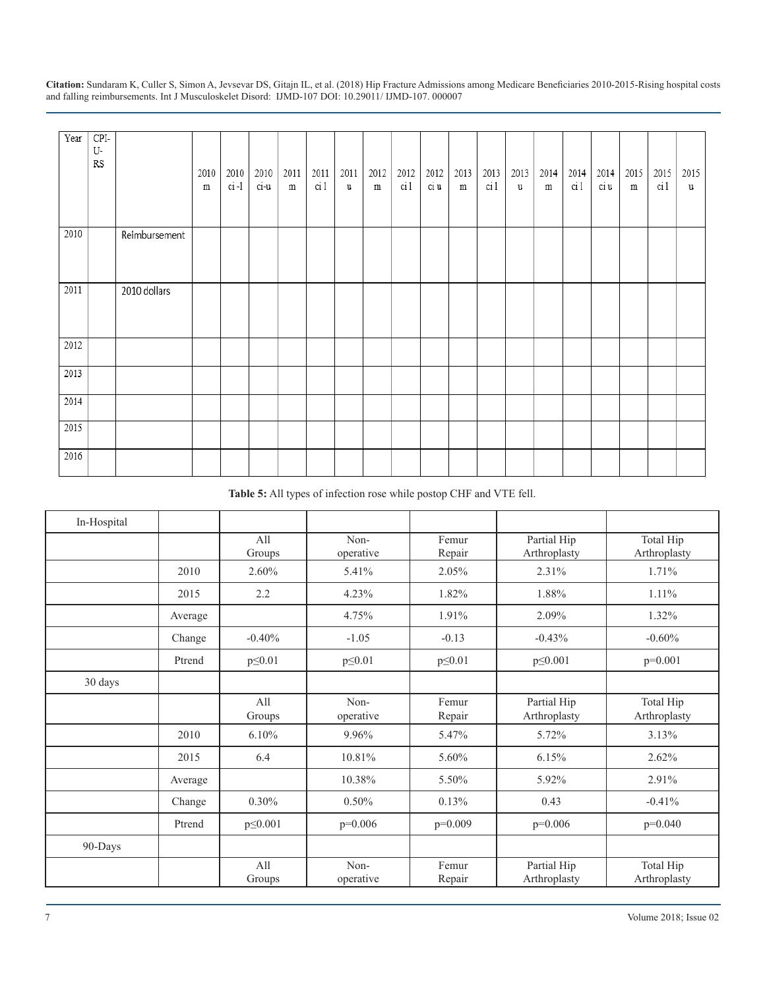| Year | $CPI-$<br>U-<br>RS |               | 2010<br>${\rm m}$ | 2010<br>$ci-1$ | 2010<br>$ci-u$ | 2011<br>$\, {\rm m}$ | 2011<br>ci 1 | 2011<br>u | 2012<br>${\rm m}$ | 2012<br>ci 1 | 2012<br>ci u | 2013<br>${\rm m}$ | 2013<br>ci 1 | 2013<br>u | 2014<br>$\, {\rm m}$ | 2014<br>ci 1 | 2014<br>ci u | 2015<br>${\rm m}$ | 2015<br>ci 1 | 2015<br>u |
|------|--------------------|---------------|-------------------|----------------|----------------|----------------------|--------------|-----------|-------------------|--------------|--------------|-------------------|--------------|-----------|----------------------|--------------|--------------|-------------------|--------------|-----------|
| 2010 |                    | Reimbursement |                   |                |                |                      |              |           |                   |              |              |                   |              |           |                      |              |              |                   |              |           |
| 2011 |                    | 2010 dollars  |                   |                |                |                      |              |           |                   |              |              |                   |              |           |                      |              |              |                   |              |           |
| 2012 |                    |               |                   |                |                |                      |              |           |                   |              |              |                   |              |           |                      |              |              |                   |              |           |
| 2013 |                    |               |                   |                |                |                      |              |           |                   |              |              |                   |              |           |                      |              |              |                   |              |           |
| 2014 |                    |               |                   |                |                |                      |              |           |                   |              |              |                   |              |           |                      |              |              |                   |              |           |
| 2015 |                    |               |                   |                |                |                      |              |           |                   |              |              |                   |              |           |                      |              |              |                   |              |           |
| 2016 |                    |               |                   |                |                |                      |              |           |                   |              |              |                   |              |           |                      |              |              |                   |              |           |

#### **Table 5:** All types of infection rose while postop CHF and VTE fell.

| In-Hospital |         |               |                   |                 |                             |                           |
|-------------|---------|---------------|-------------------|-----------------|-----------------------------|---------------------------|
|             |         | All<br>Groups | Non-<br>operative | Femur<br>Repair | Partial Hip<br>Arthroplasty | Total Hip<br>Arthroplasty |
|             | 2010    | 2.60%         | 5.41%             | 2.05%           | 2.31%                       | 1.71%                     |
|             | 2015    | 2.2           | 4.23%             | 1.82%           | 1.88%                       | 1.11%                     |
|             | Average |               | 4.75%             | 1.91%           | 2.09%                       | 1.32%                     |
|             | Change  | $-0.40%$      | $-1.05$           | $-0.13$         | $-0.43%$                    | $-0.60\%$                 |
|             | Ptrend  | $p \leq 0.01$ | $p \leq 0.01$     | $p \leq 0.01$   | $p \le 0.001$               | $p=0.001$                 |
| 30 days     |         |               |                   |                 |                             |                           |
|             |         | A11<br>Groups | Non-<br>operative | Femur<br>Repair | Partial Hip<br>Arthroplasty | Total Hip<br>Arthroplasty |
|             | 2010    | 6.10%         | 9.96%             | 5.47%           | 5.72%                       | 3.13%                     |
|             | 2015    | 6.4           | 10.81%            | 5.60%           | 6.15%                       | 2.62%                     |
|             | Average |               | 10.38%            | 5.50%           | 5.92%                       | 2.91%                     |
|             | Change  | 0.30%         | 0.50%             | 0.13%           | 0.43                        | $-0.41%$                  |
|             | Ptrend  | p \city 0.001 | $p=0.006$         | $p=0.009$       | $p=0.006$                   | $p=0.040$                 |
| 90-Days     |         |               |                   |                 |                             |                           |
|             |         | All<br>Groups | Non-<br>operative | Femur<br>Repair | Partial Hip<br>Arthroplasty | Total Hip<br>Arthroplasty |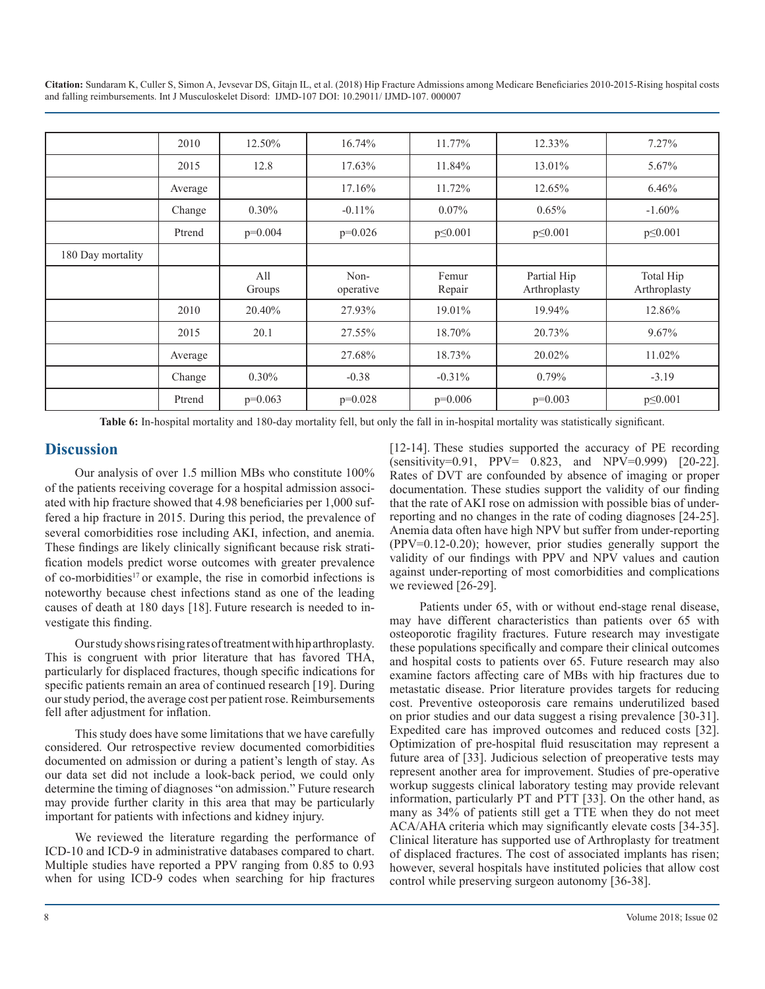|                   | 2010    | 12.50%        | 16.74%            | 11.77%          | 12.33%                      | 7.27%                     |
|-------------------|---------|---------------|-------------------|-----------------|-----------------------------|---------------------------|
|                   | 2015    | 12.8          | 17.63%            | 11.84%          | 13.01%                      | 5.67%                     |
|                   | Average |               | 17.16%            | 11.72%          | 12.65%                      | 6.46%                     |
|                   | Change  | $0.30\%$      | $-0.11\%$         | $0.07\%$        | 0.65%                       | $-1.60\%$                 |
|                   | Ptrend  | $p=0.004$     | $p=0.026$         | $p \le 0.001$   | $p \le 0.001$               | $p \le 0.001$             |
| 180 Day mortality |         |               |                   |                 |                             |                           |
|                   |         | All<br>Groups | Non-<br>operative | Femur<br>Repair | Partial Hip<br>Arthroplasty | Total Hip<br>Arthroplasty |
|                   | 2010    | 20.40%        | 27.93%            | 19.01%          | 19.94%                      | 12.86%                    |
|                   | 2015    | 20.1          | 27.55%            | 18.70%          | 20.73%                      | 9.67%                     |
|                   | Average |               | 27.68%            | 18.73%          | 20.02%                      | 11.02%                    |
|                   | Change  | $0.30\%$      | $-0.38$           | $-0.31\%$       | $0.79\%$                    | $-3.19$                   |
|                   | Ptrend  | $p=0.063$     | $p=0.028$         | $p=0.006$       | $p=0.003$                   | $p \le 0.001$             |

**Table 6:** In-hospital mortality and 180-day mortality fell, but only the fall in in-hospital mortality was statistically significant.

#### **Discussion**

Our analysis of over 1.5 million MBs who constitute 100% of the patients receiving coverage for a hospital admission associated with hip fracture showed that 4.98 beneficiaries per 1,000 suffered a hip fracture in 2015. During this period, the prevalence of several comorbidities rose including AKI, infection, and anemia. These findings are likely clinically significant because risk stratification models predict worse outcomes with greater prevalence of co-morbidities17 or example, the rise in comorbid infections is noteworthy because chest infections stand as one of the leading causes of death at 180 days [18]. Future research is needed to investigate this finding.

Our study shows rising rates of treatment with hip arthroplasty. This is congruent with prior literature that has favored THA, particularly for displaced fractures, though specific indications for specific patients remain an area of continued research [19]. During our study period, the average cost per patient rose. Reimbursements fell after adjustment for inflation.

This study does have some limitations that we have carefully considered. Our retrospective review documented comorbidities documented on admission or during a patient's length of stay. As our data set did not include a look-back period, we could only determine the timing of diagnoses "on admission." Future research may provide further clarity in this area that may be particularly important for patients with infections and kidney injury.

We reviewed the literature regarding the performance of ICD-10 and ICD-9 in administrative databases compared to chart. Multiple studies have reported a PPV ranging from 0.85 to 0.93 when for using ICD-9 codes when searching for hip fractures

[12-14]. These studies supported the accuracy of PE recording  $(sensitivity=0.91, PPV=-0.823, and NPV=0.999) [20-22].$ Rates of DVT are confounded by absence of imaging or proper documentation. These studies support the validity of our finding that the rate of AKI rose on admission with possible bias of underreporting and no changes in the rate of coding diagnoses [24-25]. Anemia data often have high NPV but suffer from under-reporting (PPV=0.12-0.20); however, prior studies generally support the validity of our findings with PPV and NPV values and caution against under-reporting of most comorbidities and complications we reviewed [26-29].

Patients under 65, with or without end-stage renal disease, may have different characteristics than patients over 65 with osteoporotic fragility fractures. Future research may investigate these populations specifically and compare their clinical outcomes and hospital costs to patients over 65. Future research may also examine factors affecting care of MBs with hip fractures due to metastatic disease. Prior literature provides targets for reducing cost. Preventive osteoporosis care remains underutilized based on prior studies and our data suggest a rising prevalence [30-31]. Expedited care has improved outcomes and reduced costs [32]. Optimization of pre-hospital fluid resuscitation may represent a future area of [33]. Judicious selection of preoperative tests may represent another area for improvement. Studies of pre-operative workup suggests clinical laboratory testing may provide relevant information, particularly PT and PTT [33]. On the other hand, as many as 34% of patients still get a TTE when they do not meet ACA/AHA criteria which may significantly elevate costs [34-35]. Clinical literature has supported use of Arthroplasty for treatment of displaced fractures. The cost of associated implants has risen; however, several hospitals have instituted policies that allow cost control while preserving surgeon autonomy [36-38].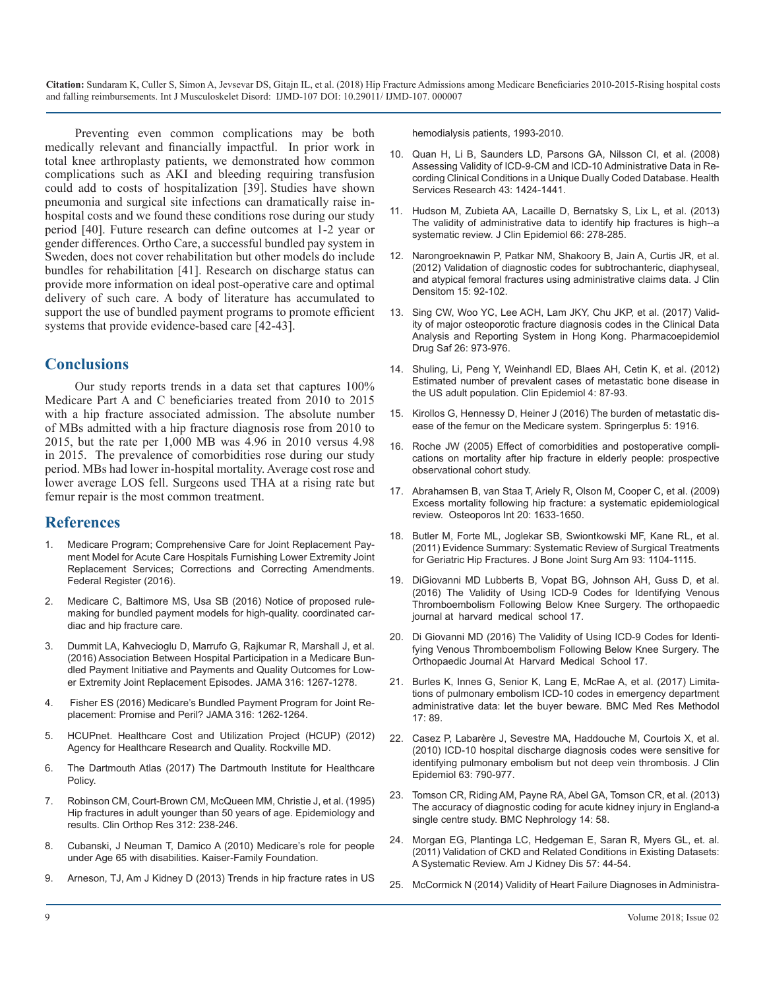Preventing even common complications may be both medically relevant and financially impactful. In prior work in total knee arthroplasty patients, we demonstrated how common complications such as AKI and bleeding requiring transfusion could add to costs of hospitalization [39]. Studies have shown pneumonia and surgical site infections can dramatically raise inhospital costs and we found these conditions rose during our study period [40]. Future research can define outcomes at 1-2 year or gender differences. Ortho Care, a successful bundled pay system in Sweden, does not cover rehabilitation but other models do include [bundles for rehabilitation \[41\]. Research on discharge status can](https://www.ncbi.nlm.nih.gov/pubmed/22071028)  provide more information on ideal post-operative care and optimal delivery of such care. A body of literature has accumulated to support the use of bundled payment programs to promote efficient systems that provide evidence-based care [42-43].

#### **Conclusions**

Our study reports trends in a data set that captures 100% Medicare Part A and C beneficiaries treated from 2010 to 2015 with a hip fracture associated admission. The absolute number [of MBs admitted with a hip fracture diagnosis rose from 2010 to](https://www.ncbi.nlm.nih.gov/pmc/articles/PMC5095094/)  2015, but the rate per 1,000 MB was 4.96 in 2010 versus 4.98 [in 2015. The prevalence of comorbidities rose during our study](https://www.bmj.com/content/early/2004/12/31/bmj.38643.663843.55)  period. MBs had lower in-hospital mortality. Average cost rose and lower average LOS fell. Surgeons used THA at a rising rate but femur repair is the most common treatment.

#### **References**

- 1. Medicare Program; Comprehensive Care for Joint Replacement Payment Model for Acute Care Hospitals Furnishing Lower Extremity Joint Replacement Services; Corrections and Correcting Amendments. Federal Register (2016).
- 2. Medicare C, Baltimore MS, Usa SB (2016) Notice of proposed rulemaking for bundled payment models for high-quality. coordinated cardiac and hip fracture care.
- 3. [Dummit LA, Kahvecioglu D, Marrufo G, Rajkumar R, Marshall J, et al.](https://www.ncbi.nlm.nih.gov/pubmed/27653006)  [\(2016\) Association Between Hospital Participation in a Medicare Bun](https://www.ncbi.nlm.nih.gov/pubmed/27653006)[dled Payment Initiative and Payments and Quality Outcomes for Low](https://www.ncbi.nlm.nih.gov/pubmed/27653006)[er Extremity Joint Replacement Episodes. JAMA 316: 1267-1278.](https://www.ncbi.nlm.nih.gov/pubmed/27653006)
- 4. [Fisher ES \(2016\) Medicare's Bundled Payment Program for Joint Re](https://www.ncbi.nlm.nih.gov/pubmed/27652520)[placement: Promise and Peril? JAMA 316: 1262-1264.](https://www.ncbi.nlm.nih.gov/pubmed/27652520)
- 5. HCUPnet. Healthcare Cost and Utilization Project (HCUP) (2012) Agency for Healthcare Research and Quality. Rockville MD.
- 6. The Dartmouth Atlas (2017) The Dartmouth Institute for Healthcare Policy.
- 7. [Robinson CM, Court-Brown CM, McQueen MM, Christie J, et al. \(1995\)](https://www.ncbi.nlm.nih.gov/pubmed/7634609)  [Hip fractures in adult younger than 50 years of age. Epidemiology and](https://www.ncbi.nlm.nih.gov/pubmed/7634609) [results. Clin Orthop Res 312: 238-246.](https://www.ncbi.nlm.nih.gov/pubmed/7634609)
- 8. [Cubanski, J Neuman T, Damico A \(2010\) Medicare's role for people](https://www.kff.org/medicare/issue-brief/medicares-role-for-people-under-age-65-with-disabilities/)  [under Age 65 with disabilities. Kaiser-Family Foundation.](https://www.kff.org/medicare/issue-brief/medicares-role-for-people-under-age-65-with-disabilities/)
- 9. Arneson, TJ, Am J Kidney D (2013) Trends in hip fracture rates in US

hemodialysis patients, 1993-2010.

- 10. [Quan H, Li B, Saunders LD, Parsons GA, Nilsson CI, et al. \(2008\)](https://www.ncbi.nlm.nih.gov/pubmed/18756617)  [Assessing Validity of ICD-9-CM and ICD-10 Administrative Data in Re](https://www.ncbi.nlm.nih.gov/pubmed/18756617)[cording Clinical Conditions in a Unique Dually Coded Database.](https://www.ncbi.nlm.nih.gov/pubmed/18756617) Health [Services Research 43: 1424-1441.](https://www.ncbi.nlm.nih.gov/pubmed/18756617)
- 11. [Hudson M, Zubieta AA, Lacaille D, Bernatsky S, Lix L, et al. \(2013\)](https://www.ncbi.nlm.nih.gov/pubmed/23347851)  [The validity of administrative data to identify hip fractures is high--a](https://www.ncbi.nlm.nih.gov/pubmed/23347851)  [systematic review. J Clin Epidemiol 66: 278-285.](https://www.ncbi.nlm.nih.gov/pubmed/23347851)
- 12. [Narongroeknawin P, Patkar NM, Shakoory B, Jain A, Curtis JR, et al.](https://www.ncbi.nlm.nih.gov/pubmed/22071028)  (2012) Validation of diagnostic codes for subtrochanteric, diaphyseal, [and atypical femoral fractures using administrative claims data. J Clin](https://www.ncbi.nlm.nih.gov/pubmed/22071028)  [Densitom 15: 92-102.](https://www.ncbi.nlm.nih.gov/pubmed/22071028)
- 13. [Sing CW, Woo YC, Lee ACH, Lam JKY, Chu JKP, et al. \(2017\) Valid](https://www.ncbi.nlm.nih.gov/pubmed/28371079)[ity of major osteoporotic fracture diagnosis codes in the Clinical Data](https://www.ncbi.nlm.nih.gov/pubmed/28371079)  [Analysis and Reporting System in Hong Kong. Pharmacoepidemiol](https://www.ncbi.nlm.nih.gov/pubmed/28371079)  [Drug Saf 26: 973-976.](https://www.ncbi.nlm.nih.gov/pubmed/28371079)
- 14. [Shuling, Li, Peng Y, Weinhandl ED, Blaes AH, Cetin K, et al. \(2012\)](https://www.ncbi.nlm.nih.gov/pubmed/22570568) [Estimated number of prevalent cases of metastatic bone disease in](https://www.ncbi.nlm.nih.gov/pubmed/22570568)  [the US adult population. Clin Epidemiol 4: 87-93.](https://www.ncbi.nlm.nih.gov/pubmed/22570568)
- 15. [Kirollos G, Hennessy D, Heiner J \(2016\) The burden of metastatic dis](https://www.ncbi.nlm.nih.gov/pmc/articles/PMC5095094/)ease of the femur on the Medicare system. Springerplus 5: 1916.
- 16. [Roche JW \(2005\) Effect of comorbidities and postoperative compli](https://www.bmj.com/content/early/2004/12/31/bmj.38643.663843.55)cations on mortality after hip fracture in elderly people: prospective [observational cohort study.](https://www.bmj.com/content/early/2004/12/31/bmj.38643.663843.55)
- 17. [Abrahamsen B, van Staa T, Ariely R, Olson M, Cooper C, et al. \(2009\)](https://www.ncbi.nlm.nih.gov/pubmed/19421703)  [Excess mortality following hip fracture: a systematic epidemiological](https://www.ncbi.nlm.nih.gov/pubmed/19421703)  [review. Osteoporos Int 20: 1633-1650.](https://www.ncbi.nlm.nih.gov/pubmed/19421703)
- 18. [Butler M, Forte ML, Joglekar SB, Swiontkowski MF, Kane RL, et al.](https://www.ncbi.nlm.nih.gov/pubmed/21776547)  [\(2011\) Evidence Summary: Systematic Review of Surgical Treatments](https://www.ncbi.nlm.nih.gov/pubmed/21776547)  [for Geriatric Hip Fractures. J Bone Joint Surg Am 93: 1104-1115.](https://www.ncbi.nlm.nih.gov/pubmed/21776547)
- 19. [DiGiovanni MD Lubberts B, Vopat BG, Johnson AH, Guss D, et al.](http://www.orthojournalhms.org/17/article18_23.html)  [\(2016\) The Validity of Using ICD-9 Codes for Identifying Venous](http://www.orthojournalhms.org/17/article18_23.html) [Thromboembolism Following Below Knee Surgery. The orthopaedic](http://www.orthojournalhms.org/17/article18_23.html)  [journal at harvard medical school 17.](http://www.orthojournalhms.org/17/article18_23.html)
- 20. [Di Giovanni MD \(2016\) The Validity of Using ICD-9 Codes for Identi](http://www.orthojournalhms.org/17/article18_23.html)[fying Venous Thromboembolism Following Below Knee Surgery. The](http://www.orthojournalhms.org/17/article18_23.html)  [Orthopaedic Journal At Harvard Medical School 17.](http://www.orthojournalhms.org/17/article18_23.html)
- 21. [Burles K, Innes G, Senior K, Lang E, McRae A, et al. \(2017\) Limita](https://www.ncbi.nlm.nih.gov/pubmed/28595574)[tions of pulmonary embolism ICD-10 codes in emergency department](https://www.ncbi.nlm.nih.gov/pubmed/28595574)  [administrative data: let the buyer beware. BMC Med Res Methodol](https://www.ncbi.nlm.nih.gov/pubmed/28595574)  [17: 89.](https://www.ncbi.nlm.nih.gov/pubmed/28595574)
- 22. [Casez P, Labarère J, Sevestre MA, Haddouche M, Courtois X, et al.](https://www.ncbi.nlm.nih.gov/pubmed/19959332)  [\(2010\) ICD-10 hospital discharge diagnosis codes were sensitive for](https://www.ncbi.nlm.nih.gov/pubmed/19959332)  [identifying pulmonary embolism but not deep vein thrombosis.](https://www.ncbi.nlm.nih.gov/pubmed/19959332) J Clin [Epidemiol 63: 790-977.](https://www.ncbi.nlm.nih.gov/pubmed/19959332)
- 23. [Tomson CR, Riding AM, Payne RA, Abel GA, Tomson CR, et al. \(2013\)](https://bmcnephrol.biomedcentral.com/articles/10.1186/1471-2369-14-58)  [The accuracy of diagnostic coding for acute kidney injury in England-a](https://bmcnephrol.biomedcentral.com/articles/10.1186/1471-2369-14-58)  [single centre study. BMC Nephrology 14: 58.](https://bmcnephrol.biomedcentral.com/articles/10.1186/1471-2369-14-58)
- 24. [Morgan EG, Plantinga LC, Hedgeman E, Saran R, Myers GL, et](https://www.ncbi.nlm.nih.gov/pubmed/20692079)*.* al. [\(2011\) Validation of CKD and Related Conditions in Existing Datasets:](https://www.ncbi.nlm.nih.gov/pubmed/20692079)  [A Systematic Review. Am J Kidney Dis 57: 44-54.](https://www.ncbi.nlm.nih.gov/pubmed/20692079)
- 25. [McCormick N \(2014\) Validity of Heart Failure Diagnoses in Administra-](https://www.ncbi.nlm.nih.gov/books/NBK292642/)